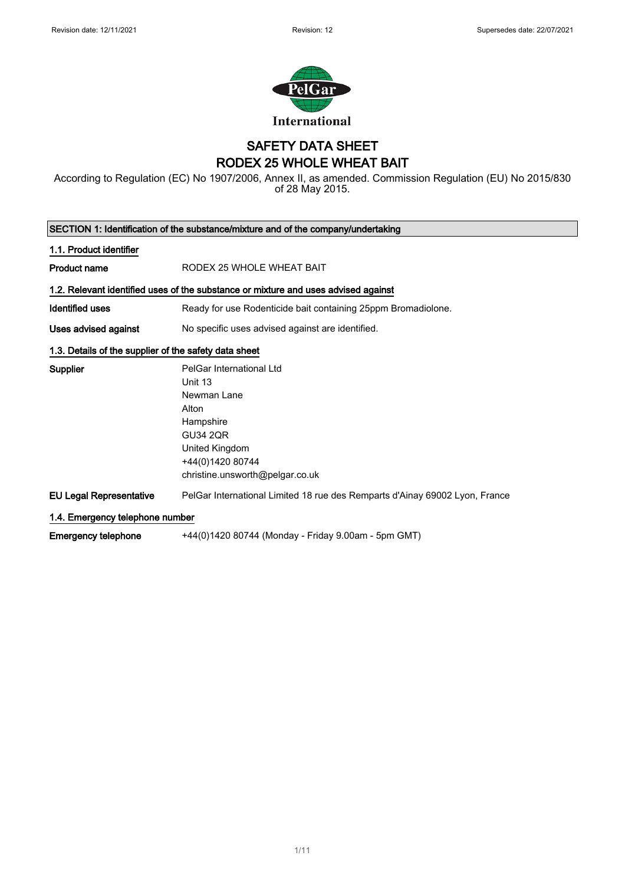

### SAFETY DATA SHEET RODEX 25 WHOLE WHEAT BAIT

According to Regulation (EC) No 1907/2006, Annex II, as amended. Commission Regulation (EU) No 2015/830 of 28 May 2015.

| SECTION 1: Identification of the substance/mixture and of the company/undertaking |                                                                                                                                                                      |  |
|-----------------------------------------------------------------------------------|----------------------------------------------------------------------------------------------------------------------------------------------------------------------|--|
| 1.1. Product identifier                                                           |                                                                                                                                                                      |  |
| <b>Product name</b>                                                               | RODEX 25 WHOLE WHEAT BAIT                                                                                                                                            |  |
|                                                                                   | 1.2. Relevant identified uses of the substance or mixture and uses advised against                                                                                   |  |
| Identified uses                                                                   | Ready for use Rodenticide bait containing 25ppm Bromadiolone.                                                                                                        |  |
| Uses advised against                                                              | No specific uses advised against are identified.                                                                                                                     |  |
| 1.3. Details of the supplier of the safety data sheet                             |                                                                                                                                                                      |  |
| Supplier                                                                          | PelGar International Ltd<br>Unit 13<br>Newman Lane<br>Alton<br>Hampshire<br><b>GU34 2QR</b><br>United Kingdom<br>+44(0)1420 80744<br>christine.unsworth@pelgar.co.uk |  |
| <b>EU Legal Representative</b>                                                    | PelGar International Limited 18 rue des Remparts d'Ainay 69002 Lyon, France                                                                                          |  |
| 1.4. Emergency telephone number                                                   |                                                                                                                                                                      |  |
| <b>Emergency telephone</b>                                                        | +44(0)1420 80744 (Monday - Friday 9.00am - 5pm GMT)                                                                                                                  |  |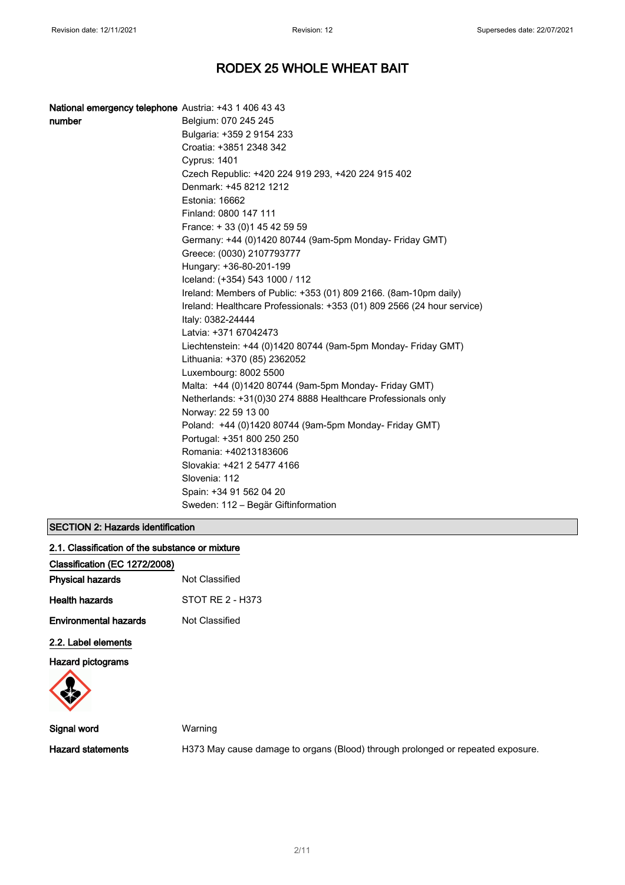| National emergency telephone Austria: +43 1 406 43 43 |                                                                                               |
|-------------------------------------------------------|-----------------------------------------------------------------------------------------------|
| number                                                | Belgium: 070 245 245                                                                          |
|                                                       | Bulgaria: +359 2 9154 233                                                                     |
|                                                       | Croatia: +3851 2348 342                                                                       |
|                                                       | <b>Cyprus: 1401</b>                                                                           |
|                                                       | Czech Republic: +420 224 919 293, +420 224 915 402                                            |
|                                                       | Denmark: +45 8212 1212                                                                        |
|                                                       | Estonia: 16662                                                                                |
|                                                       | Finland: 0800 147 111                                                                         |
|                                                       | France: +33 (0) 145 42 59 59                                                                  |
|                                                       | Germany: +44 (0)1420 80744 (9am-5pm Monday- Friday GMT)                                       |
|                                                       | Greece: (0030) 2107793777                                                                     |
|                                                       | Hungary: +36-80-201-199                                                                       |
|                                                       | Iceland: (+354) 543 1000 / 112                                                                |
|                                                       | Ireland: Members of Public: +353 (01) 809 2166. (8am-10pm daily)                              |
|                                                       | Ireland: Healthcare Professionals: +353 (01) 809 2566 (24 hour service)<br>Italy: 0382-24444  |
|                                                       | Latvia: +371 67042473                                                                         |
|                                                       | Liechtenstein: +44 (0)1420 80744 (9am-5pm Monday- Friday GMT)<br>Lithuania: +370 (85) 2362052 |
|                                                       | Luxembourg: 8002 5500                                                                         |
|                                                       | Malta: +44 (0)1420 80744 (9am-5pm Monday- Friday GMT)                                         |
|                                                       | Netherlands: +31(0)30 274 8888 Healthcare Professionals only                                  |
|                                                       | Norway: 22 59 13 00                                                                           |
|                                                       | Poland: +44 (0)1420 80744 (9am-5pm Monday- Friday GMT)                                        |
|                                                       | Portugal: +351 800 250 250                                                                    |
|                                                       | Romania: +40213183606                                                                         |
|                                                       | Slovakia: +421 2 5477 4166                                                                    |
|                                                       | Slovenia: 112                                                                                 |
|                                                       |                                                                                               |
|                                                       | Spain: +34 91 562 04 20                                                                       |

### SECTION 2: Hazards identification

| 2.1. Classification of the substance or mixture |  |  |
|-------------------------------------------------|--|--|
|                                                 |  |  |

| Classification (EC 1272/2008) |                  |
|-------------------------------|------------------|
| <b>Physical hazards</b>       | Not Classified   |
| Health hazards                | STOT RF 2 - H373 |
| <b>Environmental hazards</b>  | Not Classified   |
| 2.2. Label elements           |                  |

Hazard pictograms



Signal word Warning

Hazard statements **H373 May cause damage to organs (Blood)** through prolonged or repeated exposure.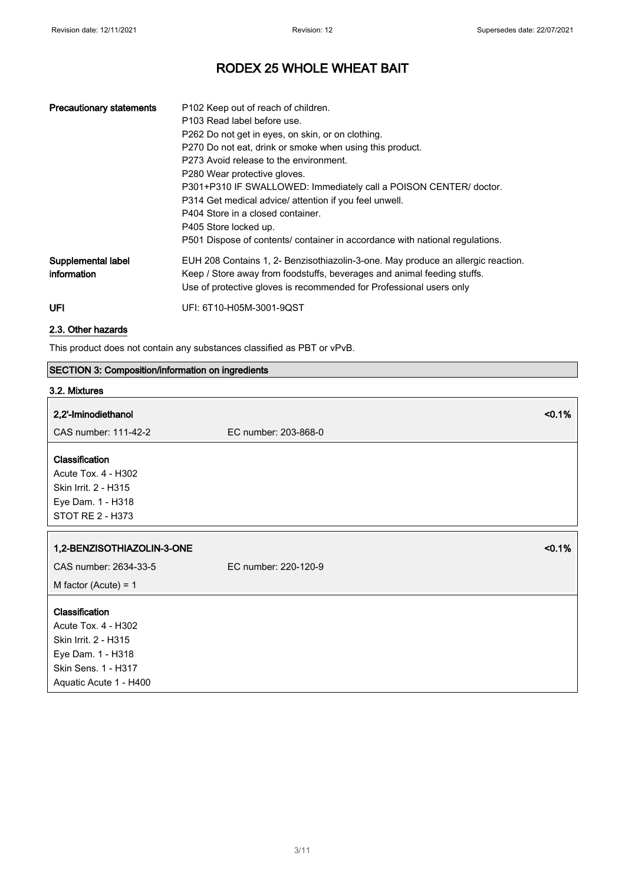| <b>Precautionary statements</b>   | P102 Keep out of reach of children.<br>P103 Read label before use.<br>P262 Do not get in eyes, on skin, or on clothing.<br>P270 Do not eat, drink or smoke when using this product.<br>P273 Avoid release to the environment.<br>P280 Wear protective gloves.<br>P301+P310 IF SWALLOWED: Immediately call a POISON CENTER/ doctor.<br>P314 Get medical advice/ attention if you feel unwell.<br>P404 Store in a closed container.<br>P405 Store locked up.<br>P501 Dispose of contents/ container in accordance with national regulations. |
|-----------------------------------|--------------------------------------------------------------------------------------------------------------------------------------------------------------------------------------------------------------------------------------------------------------------------------------------------------------------------------------------------------------------------------------------------------------------------------------------------------------------------------------------------------------------------------------------|
| Supplemental label<br>information | EUH 208 Contains 1, 2- Benzisothiazolin-3-one. May produce an allergic reaction.<br>Keep / Store away from foodstuffs, beverages and animal feeding stuffs.<br>Use of protective gloves is recommended for Professional users only                                                                                                                                                                                                                                                                                                         |
| UFI                               | UFI: 6T10-H05M-3001-9QST                                                                                                                                                                                                                                                                                                                                                                                                                                                                                                                   |

### 2.3. Other hazards

This product does not contain any substances classified as PBT or vPvB.

### SECTION 3: Composition/information on ingredients

# 3.2. Mixtures 2,2'-Iminodiethanol <0.1% CAS number: 111-42-2 EC number: 203-868-0 **Classification** Acute Tox. 4 - H302 Skin Irrit. 2 - H315 Eye Dam. 1 - H318 STOT RE 2 - H373 1,2-BENZISOTHIAZOLIN-3-ONE <0.1% CAS number: 2634-33-5 EC number: 220-120-9 M factor (Acute) = 1 **Classification** Acute Tox. 4 - H302 Skin Irrit. 2 - H315 Eye Dam. 1 - H318 Skin Sens. 1 - H317 Aquatic Acute 1 - H400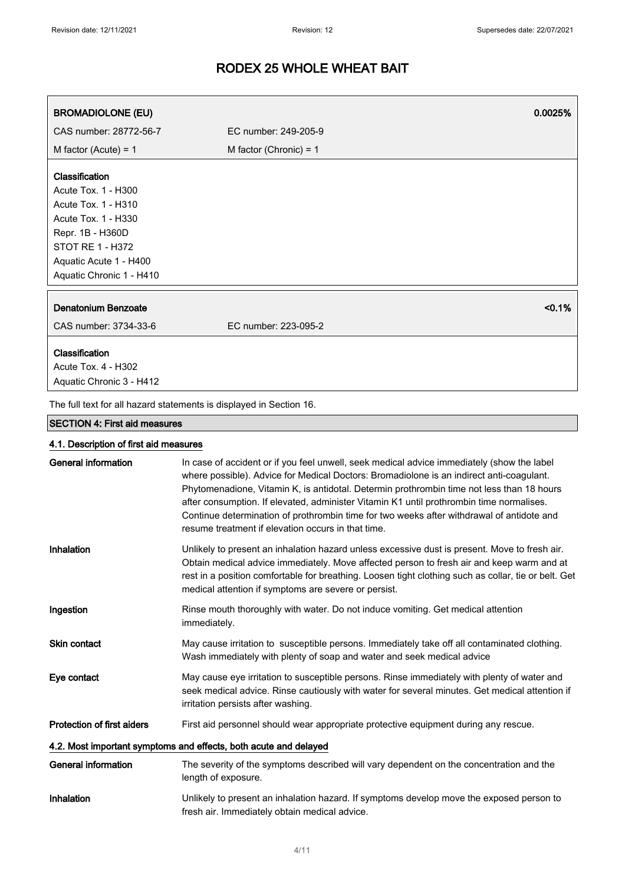| <b>BROMADIOLONE (EU)</b>                                                                                | 0.0025%                                                                                                                                                                                                                                                                                                                                                                                                                                                                                                                            |
|---------------------------------------------------------------------------------------------------------|------------------------------------------------------------------------------------------------------------------------------------------------------------------------------------------------------------------------------------------------------------------------------------------------------------------------------------------------------------------------------------------------------------------------------------------------------------------------------------------------------------------------------------|
| CAS number: 28772-56-7                                                                                  | EC number: 249-205-9                                                                                                                                                                                                                                                                                                                                                                                                                                                                                                               |
| M factor (Acute) = $1$                                                                                  | M factor (Chronic) = $1$                                                                                                                                                                                                                                                                                                                                                                                                                                                                                                           |
| Classification<br>Acute Tox. 1 - H300<br>Acute Tox. 1 - H310<br>Acute Tox. 1 - H330<br>Repr. 1B - H360D |                                                                                                                                                                                                                                                                                                                                                                                                                                                                                                                                    |
| STOT RE 1 - H372                                                                                        |                                                                                                                                                                                                                                                                                                                                                                                                                                                                                                                                    |
| Aquatic Acute 1 - H400                                                                                  |                                                                                                                                                                                                                                                                                                                                                                                                                                                                                                                                    |
| Aquatic Chronic 1 - H410                                                                                |                                                                                                                                                                                                                                                                                                                                                                                                                                                                                                                                    |
| Denatonium Benzoate                                                                                     | $< 0.1\%$                                                                                                                                                                                                                                                                                                                                                                                                                                                                                                                          |
| CAS number: 3734-33-6                                                                                   | EC number: 223-095-2                                                                                                                                                                                                                                                                                                                                                                                                                                                                                                               |
| Classification<br>Acute Tox. 4 - H302<br>Aquatic Chronic 3 - H412                                       |                                                                                                                                                                                                                                                                                                                                                                                                                                                                                                                                    |
|                                                                                                         | The full text for all hazard statements is displayed in Section 16.                                                                                                                                                                                                                                                                                                                                                                                                                                                                |
| <b>SECTION 4: First aid measures</b>                                                                    |                                                                                                                                                                                                                                                                                                                                                                                                                                                                                                                                    |
| 4.1. Description of first aid measures                                                                  |                                                                                                                                                                                                                                                                                                                                                                                                                                                                                                                                    |
| <b>General information</b>                                                                              | In case of accident or if you feel unwell, seek medical advice immediately (show the label<br>where possible). Advice for Medical Doctors: Bromadiolone is an indirect anti-coagulant.<br>Phytomenadione, Vitamin K, is antidotal. Determin prothrombin time not less than 18 hours<br>after consumption. If elevated, administer Vitamin K1 until prothrombin time normalises.<br>Continue determination of prothrombin time for two weeks after withdrawal of antidote and<br>resume treatment if elevation occurs in that time. |
| Inhalation                                                                                              | Unlikely to present an inhalation hazard unless excessive dust is present. Move to fresh air.<br>Obtain medical advice immediately. Move affected person to fresh air and keep warm and at<br>rest in a position comfortable for breathing. Loosen tight clothing such as collar, tie or belt. Get<br>medical attention if symptoms are severe or persist.                                                                                                                                                                         |
| Ingestion                                                                                               | Rinse mouth thoroughly with water. Do not induce vomiting. Get medical attention<br>immediately.                                                                                                                                                                                                                                                                                                                                                                                                                                   |

Skin contact May cause irritation to susceptible persons. Immediately take off all contaminated clothing. Wash immediately with plenty of soap and water and seek medical advice

Eye contact May cause eye irritation to susceptible persons. Rinse immediately with plenty of water and seek medical advice. Rinse cautiously with water for several minutes. Get medical attention if irritation persists after washing.

Protection of first aiders First aid personnel should wear appropriate protective equipment during any rescue.

#### 4.2. Most important symptoms and effects, both acute and delayed

- General information The severity of the symptoms described will vary dependent on the concentration and the length of exposure. Inhalation Unlikely to present an inhalation hazard. If symptoms develop move the exposed person to
- fresh air. Immediately obtain medical advice.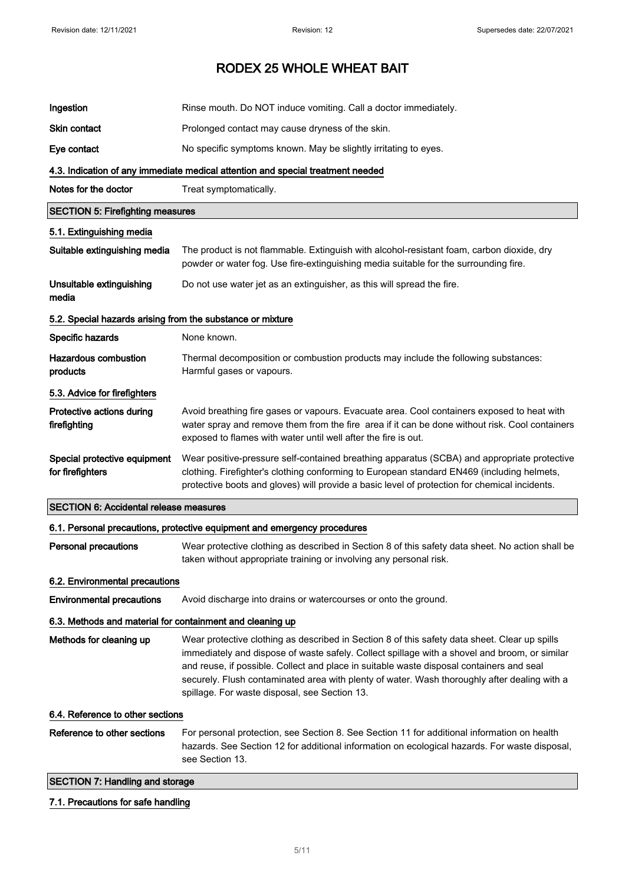| Ingestion                                                  | Rinse mouth. Do NOT induce vomiting. Call a doctor immediately.                                                                                                                                                                                                                                                                                                                                                                             |
|------------------------------------------------------------|---------------------------------------------------------------------------------------------------------------------------------------------------------------------------------------------------------------------------------------------------------------------------------------------------------------------------------------------------------------------------------------------------------------------------------------------|
| Skin contact                                               | Prolonged contact may cause dryness of the skin.                                                                                                                                                                                                                                                                                                                                                                                            |
| Eye contact                                                | No specific symptoms known. May be slightly irritating to eyes.                                                                                                                                                                                                                                                                                                                                                                             |
|                                                            | 4.3. Indication of any immediate medical attention and special treatment needed                                                                                                                                                                                                                                                                                                                                                             |
| Notes for the doctor                                       | Treat symptomatically.                                                                                                                                                                                                                                                                                                                                                                                                                      |
| <b>SECTION 5: Firefighting measures</b>                    |                                                                                                                                                                                                                                                                                                                                                                                                                                             |
| 5.1. Extinguishing media                                   |                                                                                                                                                                                                                                                                                                                                                                                                                                             |
| Suitable extinguishing media                               | The product is not flammable. Extinguish with alcohol-resistant foam, carbon dioxide, dry<br>powder or water fog. Use fire-extinguishing media suitable for the surrounding fire.                                                                                                                                                                                                                                                           |
| Unsuitable extinguishing<br>media                          | Do not use water jet as an extinguisher, as this will spread the fire.                                                                                                                                                                                                                                                                                                                                                                      |
| 5.2. Special hazards arising from the substance or mixture |                                                                                                                                                                                                                                                                                                                                                                                                                                             |
| Specific hazards                                           | None known.                                                                                                                                                                                                                                                                                                                                                                                                                                 |
| <b>Hazardous combustion</b><br>products                    | Thermal decomposition or combustion products may include the following substances:<br>Harmful gases or vapours.                                                                                                                                                                                                                                                                                                                             |
| 5.3. Advice for firefighters                               |                                                                                                                                                                                                                                                                                                                                                                                                                                             |
| Protective actions during<br>firefighting                  | Avoid breathing fire gases or vapours. Evacuate area. Cool containers exposed to heat with<br>water spray and remove them from the fire area if it can be done without risk. Cool containers<br>exposed to flames with water until well after the fire is out.                                                                                                                                                                              |
| Special protective equipment<br>for firefighters           | Wear positive-pressure self-contained breathing apparatus (SCBA) and appropriate protective<br>clothing. Firefighter's clothing conforming to European standard EN469 (including helmets,<br>protective boots and gloves) will provide a basic level of protection for chemical incidents.                                                                                                                                                  |
| <b>SECTION 6: Accidental release measures</b>              |                                                                                                                                                                                                                                                                                                                                                                                                                                             |
|                                                            | 6.1. Personal precautions, protective equipment and emergency procedures                                                                                                                                                                                                                                                                                                                                                                    |
| <b>Personal precautions</b>                                | Wear protective clothing as described in Section 8 of this safety data sheet. No action shall be<br>taken without appropriate training or involving any personal risk.                                                                                                                                                                                                                                                                      |
| 6.2. Environmental precautions                             |                                                                                                                                                                                                                                                                                                                                                                                                                                             |
| <b>Environmental precautions</b>                           | Avoid discharge into drains or watercourses or onto the ground.                                                                                                                                                                                                                                                                                                                                                                             |
| 6.3. Methods and material for containment and cleaning up  |                                                                                                                                                                                                                                                                                                                                                                                                                                             |
| Methods for cleaning up                                    | Wear protective clothing as described in Section 8 of this safety data sheet. Clear up spills<br>immediately and dispose of waste safely. Collect spillage with a shovel and broom, or similar<br>and reuse, if possible. Collect and place in suitable waste disposal containers and seal<br>securely. Flush contaminated area with plenty of water. Wash thoroughly after dealing with a<br>spillage. For waste disposal, see Section 13. |
| 6.4. Reference to other sections                           |                                                                                                                                                                                                                                                                                                                                                                                                                                             |
| Reference to other sections                                | For personal protection, see Section 8. See Section 11 for additional information on health<br>hazards. See Section 12 for additional information on ecological hazards. For waste disposal,<br>see Section 13.                                                                                                                                                                                                                             |
| <b>SECTION 7: Handling and storage</b>                     |                                                                                                                                                                                                                                                                                                                                                                                                                                             |

### 7.1. Precautions for safe handling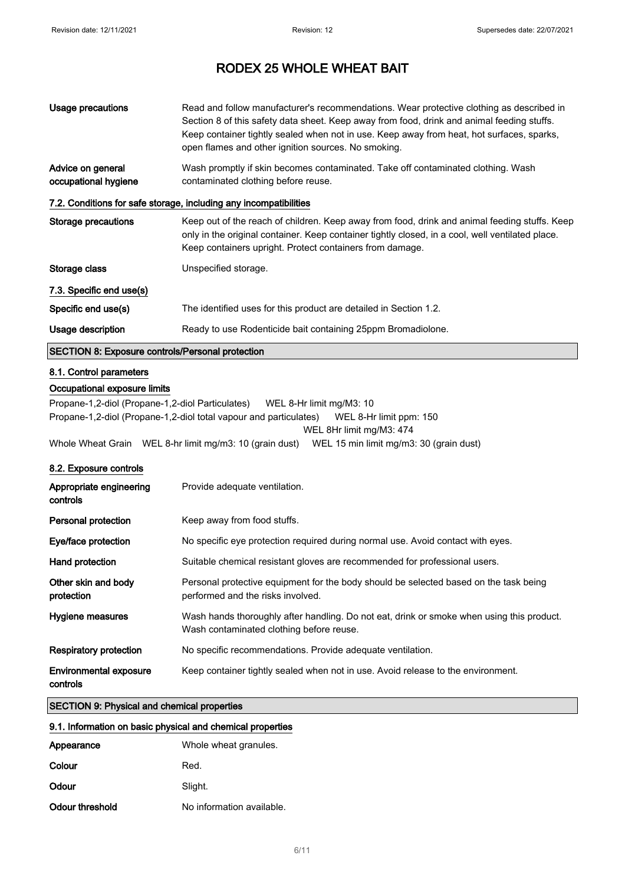| <b>Usage precautions</b>                                   | Read and follow manufacturer's recommendations. Wear protective clothing as described in<br>Section 8 of this safety data sheet. Keep away from food, drink and animal feeding stuffs.<br>Keep container tightly sealed when not in use. Keep away from heat, hot surfaces, sparks,<br>open flames and other ignition sources. No smoking. |  |
|------------------------------------------------------------|--------------------------------------------------------------------------------------------------------------------------------------------------------------------------------------------------------------------------------------------------------------------------------------------------------------------------------------------|--|
| Advice on general<br>occupational hygiene                  | Wash promptly if skin becomes contaminated. Take off contaminated clothing. Wash<br>contaminated clothing before reuse.                                                                                                                                                                                                                    |  |
|                                                            | 7.2. Conditions for safe storage, including any incompatibilities                                                                                                                                                                                                                                                                          |  |
| Storage precautions                                        | Keep out of the reach of children. Keep away from food, drink and animal feeding stuffs. Keep<br>only in the original container. Keep container tightly closed, in a cool, well ventilated place.<br>Keep containers upright. Protect containers from damage.                                                                              |  |
| Storage class                                              | Unspecified storage.                                                                                                                                                                                                                                                                                                                       |  |
| 7.3. Specific end use(s)                                   |                                                                                                                                                                                                                                                                                                                                            |  |
| Specific end use(s)                                        | The identified uses for this product are detailed in Section 1.2.                                                                                                                                                                                                                                                                          |  |
| Usage description                                          | Ready to use Rodenticide bait containing 25ppm Bromadiolone.                                                                                                                                                                                                                                                                               |  |
| <b>SECTION 8: Exposure controls/Personal protection</b>    |                                                                                                                                                                                                                                                                                                                                            |  |
| 8.1. Control parameters                                    |                                                                                                                                                                                                                                                                                                                                            |  |
| Occupational exposure limits                               |                                                                                                                                                                                                                                                                                                                                            |  |
| Propane-1,2-diol (Propane-1,2-diol Particulates)           | WEL 8-Hr limit mg/M3: 10<br>Propane-1,2-diol (Propane-1,2-diol total vapour and particulates)<br>WEL 8-Hr limit ppm: 150<br>WEL 8Hr limit mg/M3: 474<br>Whole Wheat Grain WEL 8-hr limit mg/m3: 10 (grain dust) WEL 15 min limit mg/m3: 30 (grain dust)                                                                                    |  |
|                                                            |                                                                                                                                                                                                                                                                                                                                            |  |
| 8.2. Exposure controls                                     |                                                                                                                                                                                                                                                                                                                                            |  |
| Appropriate engineering<br>controls                        | Provide adequate ventilation.                                                                                                                                                                                                                                                                                                              |  |
| <b>Personal protection</b>                                 | Keep away from food stuffs.                                                                                                                                                                                                                                                                                                                |  |
| Eye/face protection                                        | No specific eye protection required during normal use. Avoid contact with eyes.                                                                                                                                                                                                                                                            |  |
| Hand protection                                            | Suitable chemical resistant gloves are recommended for professional users.                                                                                                                                                                                                                                                                 |  |
| Other skin and body<br>protection                          | Personal protective equipment for the body should be selected based on the task being<br>performed and the risks involved.                                                                                                                                                                                                                 |  |
| Hygiene measures                                           | Wash hands thoroughly after handling. Do not eat, drink or smoke when using this product.<br>Wash contaminated clothing before reuse.                                                                                                                                                                                                      |  |
| <b>Respiratory protection</b>                              | No specific recommendations. Provide adequate ventilation.                                                                                                                                                                                                                                                                                 |  |
| <b>Environmental exposure</b><br>controls                  | Keep container tightly sealed when not in use. Avoid release to the environment.                                                                                                                                                                                                                                                           |  |
| <b>SECTION 9: Physical and chemical properties</b>         |                                                                                                                                                                                                                                                                                                                                            |  |
| 9.1. Information on basic physical and chemical properties |                                                                                                                                                                                                                                                                                                                                            |  |
| Appearance                                                 | Whole wheat granules.                                                                                                                                                                                                                                                                                                                      |  |

| <u>WINDIC WINDER GIUNIUNG.</u> |
|--------------------------------|
| Red.                           |
| Slight.                        |
| No information available.      |
|                                |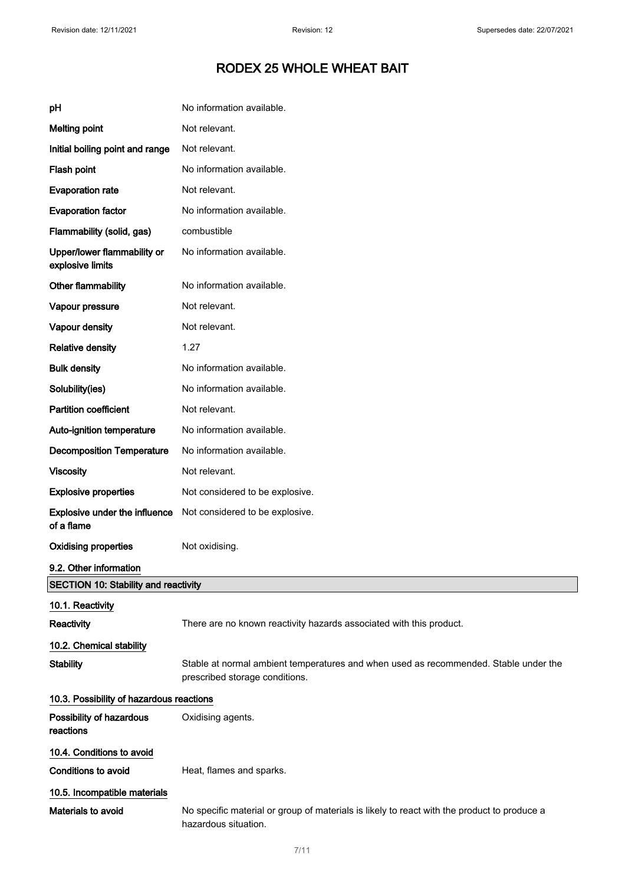| рH                                                 | No information available.                                                                                              |  |
|----------------------------------------------------|------------------------------------------------------------------------------------------------------------------------|--|
| <b>Melting point</b>                               | Not relevant.                                                                                                          |  |
| Initial boiling point and range                    | Not relevant.                                                                                                          |  |
| Flash point                                        | No information available.                                                                                              |  |
| <b>Evaporation rate</b>                            | Not relevant.                                                                                                          |  |
| <b>Evaporation factor</b>                          | No information available.                                                                                              |  |
| Flammability (solid, gas)                          | combustible                                                                                                            |  |
| Upper/lower flammability or<br>explosive limits    | No information available.                                                                                              |  |
| Other flammability                                 | No information available.                                                                                              |  |
| Vapour pressure                                    | Not relevant.                                                                                                          |  |
| Vapour density                                     | Not relevant.                                                                                                          |  |
| <b>Relative density</b>                            | 1.27                                                                                                                   |  |
| <b>Bulk density</b>                                | No information available.                                                                                              |  |
| Solubility(ies)                                    | No information available.                                                                                              |  |
| <b>Partition coefficient</b>                       | Not relevant.                                                                                                          |  |
| Auto-ignition temperature                          | No information available.                                                                                              |  |
| <b>Decomposition Temperature</b>                   | No information available.                                                                                              |  |
| <b>Viscosity</b>                                   | Not relevant.                                                                                                          |  |
| <b>Explosive properties</b>                        | Not considered to be explosive.                                                                                        |  |
| <b>Explosive under the influence</b><br>of a flame | Not considered to be explosive.                                                                                        |  |
| <b>Oxidising properties</b>                        | Not oxidising.                                                                                                         |  |
| 9.2. Other information                             |                                                                                                                        |  |
| <b>SECTION 10: Stability and reactivity</b>        |                                                                                                                        |  |
| 10.1. Reactivity                                   |                                                                                                                        |  |
| <b>Reactivity</b>                                  | There are no known reactivity hazards associated with this product.                                                    |  |
| 10.2. Chemical stability                           |                                                                                                                        |  |
| <b>Stability</b>                                   | Stable at normal ambient temperatures and when used as recommended. Stable under the<br>prescribed storage conditions. |  |
| 10.3. Possibility of hazardous reactions           |                                                                                                                        |  |
| Possibility of hazardous<br>reactions              | Oxidising agents.                                                                                                      |  |
| 10.4. Conditions to avoid                          |                                                                                                                        |  |
| <b>Conditions to avoid</b>                         | Heat, flames and sparks.                                                                                               |  |
| 10.5. Incompatible materials                       |                                                                                                                        |  |
| Materials to avoid                                 | No specific material or group of materials is likely to react with the product to produce a<br>hazardous situation.    |  |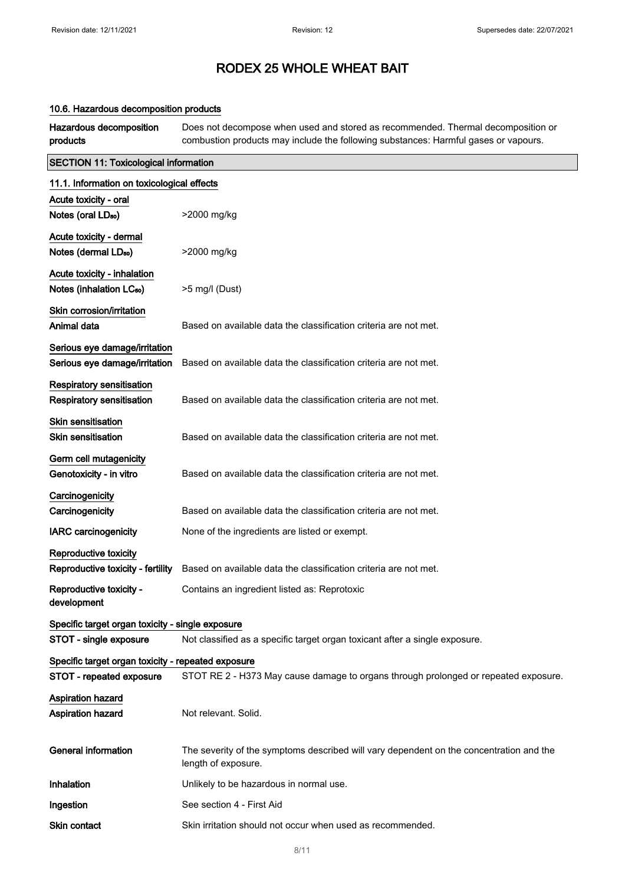#### 10.6. Hazardous decomposition products

Hazardous decomposition products Does not decompose when used and stored as recommended. Thermal decomposition or combustion products may include the following substances: Harmful gases or vapours.

| <b>SECTION 11: Toxicological information</b>                        |                                                                                                                |  |
|---------------------------------------------------------------------|----------------------------------------------------------------------------------------------------------------|--|
| 11.1. Information on toxicological effects                          |                                                                                                                |  |
| Acute toxicity - oral                                               |                                                                                                                |  |
| Notes (oral LD <sub>50</sub> )                                      | >2000 mg/kg                                                                                                    |  |
| Acute toxicity - dermal                                             |                                                                                                                |  |
| Notes (dermal LD <sub>50</sub> )                                    | >2000 mg/kg                                                                                                    |  |
| Acute toxicity - inhalation<br>Notes (inhalation LC <sub>50</sub> ) | >5 mg/l (Dust)                                                                                                 |  |
| Skin corrosion/irritation<br>Animal data                            | Based on available data the classification criteria are not met.                                               |  |
| Serious eye damage/irritation<br>Serious eye damage/irritation      | Based on available data the classification criteria are not met.                                               |  |
| Respiratory sensitisation<br><b>Respiratory sensitisation</b>       | Based on available data the classification criteria are not met.                                               |  |
| <b>Skin sensitisation</b><br><b>Skin sensitisation</b>              | Based on available data the classification criteria are not met.                                               |  |
| Germ cell mutagenicity<br>Genotoxicity - in vitro                   | Based on available data the classification criteria are not met.                                               |  |
| Carcinogenicity<br>Carcinogenicity                                  | Based on available data the classification criteria are not met.                                               |  |
| <b>IARC</b> carcinogenicity                                         | None of the ingredients are listed or exempt.                                                                  |  |
| <b>Reproductive toxicity</b>                                        |                                                                                                                |  |
| Reproductive toxicity - fertility                                   | Based on available data the classification criteria are not met.                                               |  |
| Reproductive toxicity -<br>development                              | Contains an ingredient listed as: Reprotoxic                                                                   |  |
| Specific target organ toxicity - single exposure                    |                                                                                                                |  |
| STOT - single exposure                                              | Not classified as a specific target organ toxicant after a single exposure.                                    |  |
| Specific target organ toxicity - repeated exposure                  |                                                                                                                |  |
| STOT - repeated exposure                                            | STOT RE 2 - H373 May cause damage to organs through prolonged or repeated exposure.                            |  |
| <b>Aspiration hazard</b>                                            |                                                                                                                |  |
| <b>Aspiration hazard</b>                                            | Not relevant. Solid.                                                                                           |  |
| <b>General information</b>                                          | The severity of the symptoms described will vary dependent on the concentration and the<br>length of exposure. |  |
| Inhalation                                                          | Unlikely to be hazardous in normal use.                                                                        |  |
| Ingestion                                                           | See section 4 - First Aid                                                                                      |  |
| Skin contact                                                        | Skin irritation should not occur when used as recommended.                                                     |  |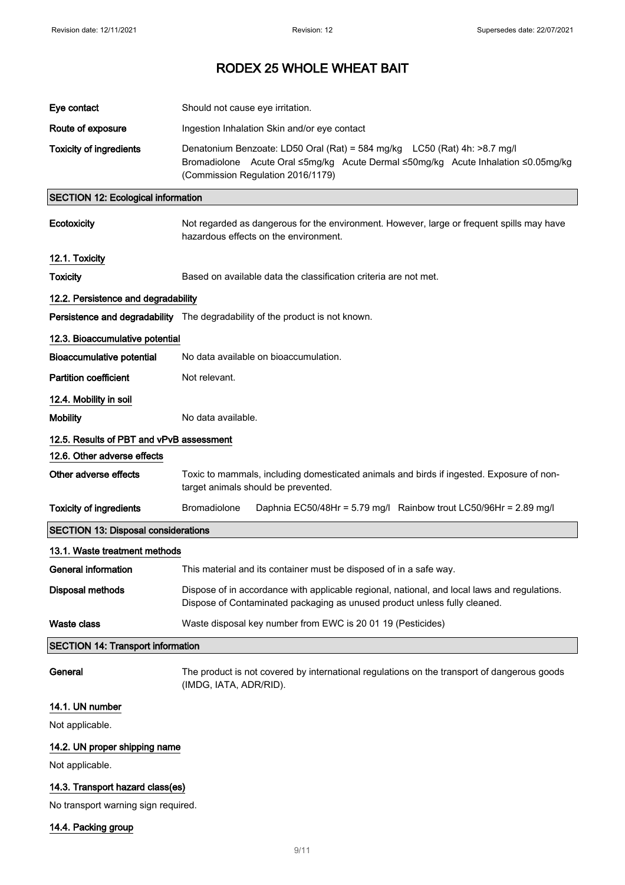| Eye contact                                | Should not cause eye irritation.                                                                                                                                                                    |  |  |
|--------------------------------------------|-----------------------------------------------------------------------------------------------------------------------------------------------------------------------------------------------------|--|--|
| Route of exposure                          | Ingestion Inhalation Skin and/or eye contact                                                                                                                                                        |  |  |
| <b>Toxicity of ingredients</b>             | Denatonium Benzoate: LD50 Oral (Rat) = 584 mg/kg LC50 (Rat) 4h: >8.7 mg/l<br>Bromadiolone Acute Oral ≤5mg/kg Acute Dermal ≤50mg/kg Acute Inhalation ≤0.05mg/kg<br>(Commission Regulation 2016/1179) |  |  |
| <b>SECTION 12: Ecological information</b>  |                                                                                                                                                                                                     |  |  |
| Ecotoxicity                                | Not regarded as dangerous for the environment. However, large or frequent spills may have<br>hazardous effects on the environment.                                                                  |  |  |
| 12.1. Toxicity                             |                                                                                                                                                                                                     |  |  |
| <b>Toxicity</b>                            | Based on available data the classification criteria are not met.                                                                                                                                    |  |  |
| 12.2. Persistence and degradability        |                                                                                                                                                                                                     |  |  |
|                                            | Persistence and degradability The degradability of the product is not known.                                                                                                                        |  |  |
| 12.3. Bioaccumulative potential            |                                                                                                                                                                                                     |  |  |
| Bioaccumulative potential                  | No data available on bioaccumulation.                                                                                                                                                               |  |  |
| <b>Partition coefficient</b>               | Not relevant.                                                                                                                                                                                       |  |  |
| 12.4. Mobility in soil                     |                                                                                                                                                                                                     |  |  |
| <b>Mobility</b>                            | No data available.                                                                                                                                                                                  |  |  |
| 12.5. Results of PBT and vPvB assessment   |                                                                                                                                                                                                     |  |  |
| 12.6. Other adverse effects                |                                                                                                                                                                                                     |  |  |
| Other adverse effects                      | Toxic to mammals, including domesticated animals and birds if ingested. Exposure of non-<br>target animals should be prevented.                                                                     |  |  |
| <b>Toxicity of ingredients</b>             | <b>Bromadiolone</b><br>Daphnia EC50/48Hr = 5.79 mg/l Rainbow trout LC50/96Hr = 2.89 mg/l                                                                                                            |  |  |
| <b>SECTION 13: Disposal considerations</b> |                                                                                                                                                                                                     |  |  |
| 13.1. Waste treatment methods              |                                                                                                                                                                                                     |  |  |
| <b>General information</b>                 | This material and its container must be disposed of in a safe way.                                                                                                                                  |  |  |
| <b>Disposal methods</b>                    | Dispose of in accordance with applicable regional, national, and local laws and regulations.<br>Dispose of Contaminated packaging as unused product unless fully cleaned.                           |  |  |
| <b>Waste class</b>                         | Waste disposal key number from EWC is 20 01 19 (Pesticides)                                                                                                                                         |  |  |
|                                            | <b>SECTION 14: Transport information</b>                                                                                                                                                            |  |  |
| General                                    | The product is not covered by international regulations on the transport of dangerous goods<br>(IMDG, IATA, ADR/RID).                                                                               |  |  |
| 14.1. UN number                            |                                                                                                                                                                                                     |  |  |
| Not applicable.                            |                                                                                                                                                                                                     |  |  |
| 14.2. UN proper shipping name              |                                                                                                                                                                                                     |  |  |
| Not applicable.                            |                                                                                                                                                                                                     |  |  |
| 14.3. Transport hazard class(es)           |                                                                                                                                                                                                     |  |  |

No transport warning sign required.

14.4. Packing group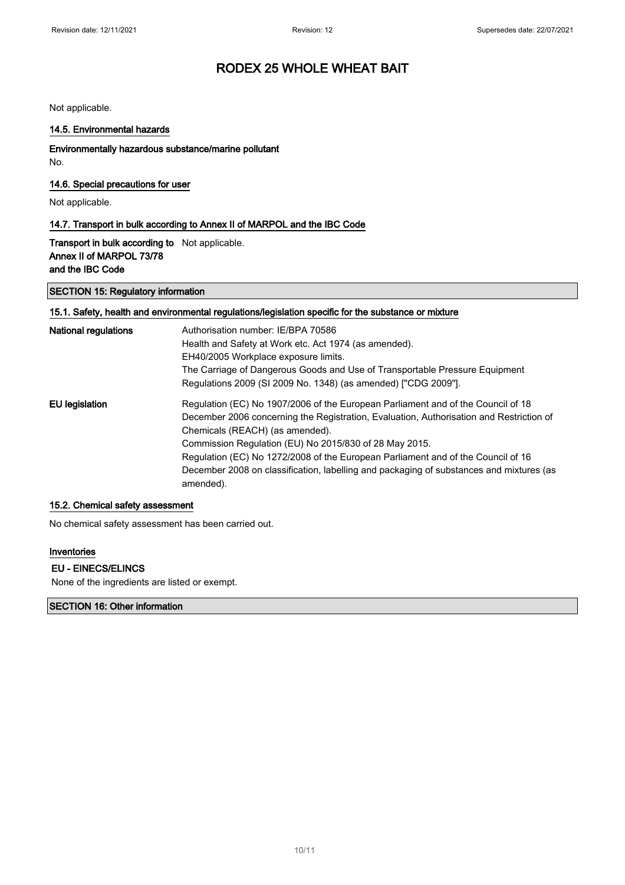Not applicable.

#### 14.5. Environmental hazards

## Environmentally hazardous substance/marine pollutant

No.

### 14.6. Special precautions for user

Not applicable.

#### 14.7. Transport in bulk according to Annex II of MARPOL and the IBC Code

Transport in bulk according to Not applicable. Annex II of MARPOL 73/78 and the IBC Code

#### SECTION 15: Regulatory information

### 15.1. Safety, health and environmental regulations/legislation specific for the substance or mixture

| National regulations | Authorisation number: IE/BPA 70586<br>Health and Safety at Work etc. Act 1974 (as amended).<br>EH40/2005 Workplace exposure limits.<br>The Carriage of Dangerous Goods and Use of Transportable Pressure Equipment<br>Regulations 2009 (SI 2009 No. 1348) (as amended) ["CDG 2009"].                                                                                                                                                                                 |
|----------------------|----------------------------------------------------------------------------------------------------------------------------------------------------------------------------------------------------------------------------------------------------------------------------------------------------------------------------------------------------------------------------------------------------------------------------------------------------------------------|
| EU legislation       | Regulation (EC) No 1907/2006 of the European Parliament and of the Council of 18<br>December 2006 concerning the Registration, Evaluation, Authorisation and Restriction of<br>Chemicals (REACH) (as amended).<br>Commission Regulation (EU) No 2015/830 of 28 May 2015.<br>Regulation (EC) No 1272/2008 of the European Parliament and of the Council of 16<br>December 2008 on classification, labelling and packaging of substances and mixtures (as<br>amended). |

#### 15.2. Chemical safety assessment

No chemical safety assessment has been carried out.

#### Inventories

#### EU - EINECS/ELINCS

None of the ingredients are listed or exempt.

### SECTION 16: Other information